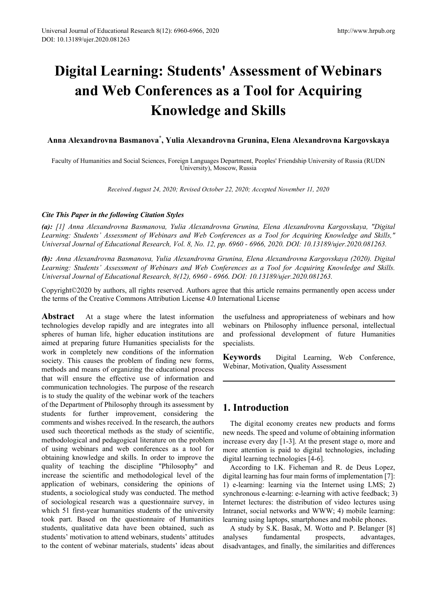# **Digital Learning: Students' Assessment of Webinars and Web Conferences as a Tool for Acquiring Knowledge and Skills**

**Anna Alexandrovna Basmanova\* , Yulia Alexandrovna Grunina, Elena Alexandrovna Kargovskaya**

Faculty of Humanities and Social Sciences, Foreign Languages Department, Peoples' Friendship University of Russia (RUDN University), Moscow, Russia

*Received August 24, 2020; Revised October 22, 2020; Accepted November 11, 2020*

### *Cite This Paper in the following Citation Styles*

*(a): [1] Anna Alexandrovna Basmanova, Yulia Alexandrovna Grunina, Elena Alexandrovna Kargovskaya, "Digital Learning: Students' Assessment of Webinars and Web Conferences as a Tool for Acquiring Knowledge and Skills," Universal Journal of Educational Research, Vol. 8, No. 12, pp. 6960 - 6966, 2020. DOI: 10.13189/ujer.2020.081263.*

*(b): Anna Alexandrovna Basmanova, Yulia Alexandrovna Grunina, Elena Alexandrovna Kargovskaya (2020). Digital Learning: Students' Assessment of Webinars and Web Conferences as a Tool for Acquiring Knowledge and Skills. Universal Journal of Educational Research, 8(12), 6960 - 6966. DOI: 10.13189/ujer.2020.081263.* 

Copyright©2020 by authors, all rights reserved. Authors agree that this article remains permanently open access under the terms of the Creative Commons Attribution License 4.0 International License

**Abstract** At a stage where the latest information technologies develop rapidly and are integrates into all spheres of human life, higher education institutions are aimed at preparing future Humanities specialists for the work in completely new conditions of the information society. This causes the problem of finding new forms, methods and means of organizing the educational process that will ensure the effective use of information and communication technologies. The purpose of the research is to study the quality of the webinar work of the teachers of the Department of Philosophy through its assessment by students for further improvement, considering the comments and wishes received. In the research, the authors used such theoretical methods as the study of scientific, methodological and pedagogical literature on the problem of using webinars and web conferences as a tool for obtaining knowledge and skills. In order to improve the quality of teaching the discipline "Philosophy" and increase the scientific and methodological level of the application of webinars, considering the opinions of students, a sociological study was conducted. The method of sociological research was a questionnaire survey, in which 51 first-year humanities students of the university took part. Based on the questionnaire of Humanities students, qualitative data have been obtained, such as students' motivation to attend webinars, students' attitudes to the content of webinar materials, students' ideas about the usefulness and appropriateness of webinars and how webinars on Philosophy influence personal, intellectual and professional development of future Humanities specialists.

**Keywords** Digital Learning, Web Conference, Webinar, Motivation, Quality Assessment

## **1. Introduction**

The digital economy creates new products and forms new needs. The speed and volume of obtaining information increase every day [1-3]. At the present stage o, more and more attention is paid to digital technologies, including digital learning technologies [4-6].

According to I.K. Ficheman and R. de Deus Lopez, digital learning has four main forms of implementation [7]: 1) e-learning: learning via the Internet using LMS; 2) synchronous e-learning: e-learning with active feedback; 3) Internet lectures: the distribution of video lectures using Intranet, social networks and WWW; 4) mobile learning: learning using laptops, smartphones and mobile phones.

A study by S.K. Basak, M. Wotto and P. Belanger [8] analyses fundamental prospects, advantages, disadvantages, and finally, the similarities and differences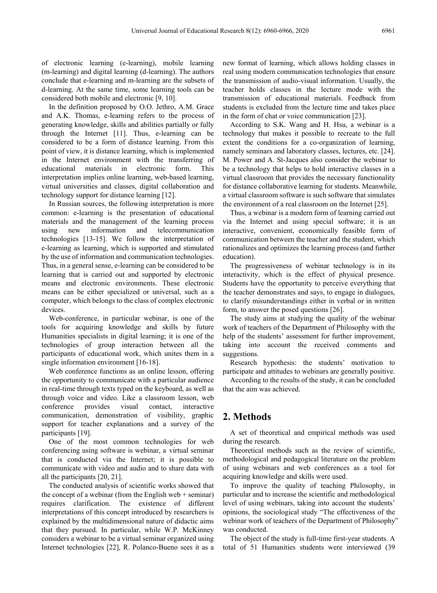of electronic learning (e-learning), mobile learning (m-learning) and digital learning (d-learning). The authors conclude that e-learning and m-learning are the subsets of d-learning. At the same time, some learning tools can be considered both mobile and electronic [9, 10].

In the definition proposed by O.O. Jethro, A.M. Grace and A.K. Thomas, e-learning refers to the process of generating knowledge, skills and abilities partially or fully through the Internet [11]. Thus, e-learning can be considered to be a form of distance learning. From this point of view, it is distance learning, which is implemented in the Internet environment with the transferring of educational materials in electronic form. This interpretation implies online learning, web-based learning, virtual universities and classes, digital collaboration and technology support for distance learning [12].

In Russian sources, the following interpretation is more common: e-learning is the presentation of educational materials and the management of the learning process using new information and telecommunication technologies [13-15]. We follow the interpretation of e-learning as learning, which is supported and stimulated by the use of information and communication technologies. Thus, in a general sense, e-learning can be considered to be learning that is carried out and supported by electronic means and electronic environments. These electronic means can be either specialized or universal, such as a computer, which belongs to the class of complex electronic devices.

Web-conference, in particular webinar, is one of the tools for acquiring knowledge and skills by future Humanities specialists in digital learning; it is one of the technologies of group interaction between all the participants of educational work, which unites them in a single information environment [16-18].

Web conference functions as an online lesson, offering the opportunity to communicate with a particular audience in real-time through texts typed on the keyboard, as well as through voice and video. Like a classroom lesson, web conference provides visual contact, interactive communication, demonstration of visibility, graphic support for teacher explanations and a survey of the participants [19].

One of the most common technologies for web conferencing using software is webinar, a virtual seminar that is conducted via the Internet; it is possible to communicate with video and audio and to share data with all the participants [20, 21].

The conducted analysis of scientific works showed that the concept of a webinar (from the English web  $+$  seminar) requires clarification. The existence of different interpretations of this concept introduced by researchers is explained by the multidimensional nature of didactic aims that they pursued. In particular, while W.P. McKinney considers a webinar to be a virtual seminar organized using Internet technologies [22], R. Polanco-Bueno sees it as a

new format of learning, which allows holding classes in real using modern communication technologies that ensure the transmission of audio-visual information. Usually, the teacher holds classes in the lecture mode with the transmission of educational materials. Feedback from students is excluded from the lecture time and takes place in the form of chat or voice communication [23].

According to S.K. Wang and H. Hsu, a webinar is a technology that makes it possible to recreate to the full extent the conditions for a co-organization of learning, namely seminars and laboratory classes, lectures, etc. [24]. M. Power and A. St-Jacques also consider the webinar to be a technology that helps to hold interactive classes in a virtual classroom that provides the necessary functionality for distance collaborative learning for students. Meanwhile, a virtual classroom software is such software that simulates the environment of a real classroom on the Internet [25].

Thus, a webinar is a modern form of learning carried out via the Internet and using special software; it is an interactive, convenient, economically feasible form of communication between the teacher and the student, which rationalizes and optimizes the learning process (and further education).

The progressiveness of webinar technology is in its interactivity, which is the effect of physical presence. Students have the opportunity to perceive everything that the teacher demonstrates and says, to engage in dialogues, to clarify misunderstandings either in verbal or in written form, to answer the posed questions [26].

The study aims at studying the quality of the webinar work of teachers of the Department of Philosophy with the help of the students' assessment for further improvement, taking into account the received comments and suggestions.

Research hypothesis: the students' motivation to participate and attitudes to webinars are generally positive.

According to the results of the study, it can be concluded that the aim was achieved.

## **2. Methods**

A set of theoretical and empirical methods was used during the research.

Theoretical methods such as the review of scientific, methodological and pedagogical literature on the problem of using webinars and web conferences as a tool for acquiring knowledge and skills were used.

To improve the quality of teaching Philosophy, in particular and to increase the scientific and methodological level of using webinars, taking into account the students' opinions, the sociological study "The effectiveness of the webinar work of teachers of the Department of Philosophy" was conducted.

The object of the study is full-time first-year students. A total of 51 Humanities students were interviewed (39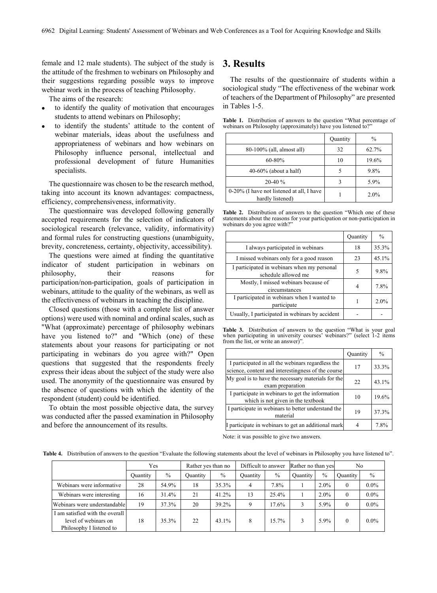female and 12 male students). The subject of the study is the attitude of the freshmen to webinars on Philosophy and their suggestions regarding possible ways to improve webinar work in the process of teaching Philosophy.

The aims of the research:

- to identify the quality of motivation that encourages students to attend webinars on Philosophy;
- to identify the students' attitude to the content of webinar materials, ideas about the usefulness and appropriateness of webinars and how webinars on Philosophy influence personal, intellectual and professional development of future Humanities specialists.

The questionnaire was chosen to be the research method, taking into account its known advantages: compactness, efficiency, comprehensiveness, informativity.

The questionnaire was developed following generally accepted requirements for the selection of indicators of sociological research (relevance, validity, informativity) and formal rules for constructing questions (unambiguity, brevity, concreteness, certainty, objectivity, accessibility).

The questions were aimed at finding the quantitative indicator of student participation in webinars on philosophy, their reasons for participation/non-participation, goals of participation in webinars, attitude to the quality of the webinars, as well as the effectiveness of webinars in teaching the discipline.

Closed questions (those with a complete list of answer options) were used with nominal and ordinal scales, such as "What (approximate) percentage of philosophy webinars have you listened to?" and "Which (one) of these statements about your reasons for participating or not participating in webinars do you agree with?" Open questions that suggested that the respondents freely express their ideas about the subject of the study were also used. The anonymity of the questionnaire was ensured by the absence of questions with which the identity of the respondent (student) could be identified.

To obtain the most possible objective data, the survey was conducted after the passed examination in Philosophy and before the announcement of its results.

## **3. Results**

The results of the questionnaire of students within a sociological study "The effectiveness of the webinar work of teachers of the Department of Philosophy" are presented in Tables 1-5.

**Table 1.** Distribution of answers to the question "What percentage of webinars on Philosophy (approximately) have you listened to?

|                                                               | Quantity | $\frac{0}{0}$ |
|---------------------------------------------------------------|----------|---------------|
| 80-100% (all, almost all)                                     | 32       | 62.7%         |
| $60 - 80%$                                                    | 10       | 19.6%         |
| $40-60\%$ (about a half)                                      |          | 9.8%          |
| $20-40%$                                                      |          | 5.9%          |
| 0-20% (I have not listened at all, I have<br>hardly listened) |          | 2.0%          |

**Table 2.** Distribution of answers to the question "Which one of these statements about the reasons for your participation or non-participation in webinars do you agree with?"

|                                                                    | Quantity | $\frac{0}{0}$ |
|--------------------------------------------------------------------|----------|---------------|
| I always participated in webinars                                  | 18       | 35.3%         |
| I missed webinars only for a good reason                           | 23       | 45.1%         |
| I participated in webinars when my personal<br>schedule allowed me | 5        | 9.8%          |
| Mostly, I missed webinars because of<br>circumstances              |          | 7.8%          |
| I participated in webinars when I wanted to<br>participate         |          | 2.0%          |
| Usually, I participated in webinars by accident                    |          |               |

**Table 3.** Distribution of answers to the question "What is your goal when participating in university courses' webinars?" (select 1-2 items from the list, or write an answer)

|                                                                                                         | Quantity | $\frac{0}{0}$ |
|---------------------------------------------------------------------------------------------------------|----------|---------------|
| I participated in all the webinars regardless the<br>science, content and interestingness of the course | 17       | 33.3%         |
| My goal is to have the necessary materials for the<br>exam preparation                                  | 22       | 43.1%         |
| I participate in webinars to get the information<br>which is not given in the textbook                  | 10       | 19.6%         |
| I participate in webinars to better understand the<br>material                                          | 19       | 37.3%         |
| I participate in webinars to get an additional mark                                                     |          | 7.8%          |

Note: it was possible to give two answers.

**Table 4.** Distribution of answers to the question "Evaluate the following statements about the level of webinars in Philosophy you have listened to".

|                                                                                     | Yes             |               | Rather yes than no |               | Difficult to answer |               | Rather no than yes |               | No       |               |
|-------------------------------------------------------------------------------------|-----------------|---------------|--------------------|---------------|---------------------|---------------|--------------------|---------------|----------|---------------|
|                                                                                     | <b>Quantity</b> | $\frac{0}{0}$ | <b>Ouantity</b>    | $\frac{0}{0}$ | <b>Ouantity</b>     | $\frac{0}{0}$ | Quantity           | $\frac{0}{0}$ | Ouantity | $\frac{0}{0}$ |
| Webinars were informative                                                           | 28              | 54.9%         | 18                 | 35.3%         | 4                   | 7.8%          |                    | $2.0\%$       | $\theta$ | $0.0\%$       |
| Webinars were interesting                                                           | 16              | 31.4%         | 21                 | 41.2%         | 13                  | 25.4%         |                    | 2.0%          | $\theta$ | $0.0\%$       |
| Webinars were understandable                                                        | 19              | 37.3%         | 20                 | 39.2%         | 9                   | 17.6%         | 3                  | $5.9\%$       | $\theta$ | $0.0\%$       |
| I am satisfied with the overall<br>level of webinars on<br>Philosophy I listened to | 18              | 35.3%         | 22                 | 43.1%         | 8                   | 15.7%         | 3                  | 5.9%          | $\Omega$ | $0.0\%$       |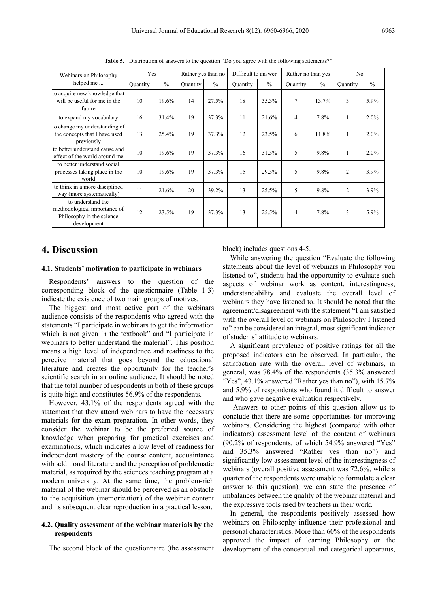| Webinars on Philosophy<br>helped me                                                           | Yes      |               | Rather yes than no |               | Difficult to answer |               | Rather no than yes |               | No              |               |
|-----------------------------------------------------------------------------------------------|----------|---------------|--------------------|---------------|---------------------|---------------|--------------------|---------------|-----------------|---------------|
|                                                                                               | Quantity | $\frac{0}{0}$ | Ouantity           | $\frac{0}{0}$ | <b>Quantity</b>     | $\frac{0}{0}$ | <b>Quantity</b>    | $\frac{0}{0}$ | <b>Quantity</b> | $\frac{0}{0}$ |
| to acquire new knowledge that<br>will be useful for me in the<br>future                       | 10       | 19.6%         | 14                 | 27.5%         | 18                  | 35.3%         | $\overline{7}$     | 13.7%         | 3               | 5.9%          |
| to expand my vocabulary                                                                       | 16       | 31.4%         | 19                 | 37.3%         | 11                  | 21.6%         | $\overline{4}$     | 7.8%          | $\mathbf{1}$    | $2.0\%$       |
| to change my understanding of<br>the concepts that I have used<br>previously                  | 13       | 25.4%         | 19                 | 37.3%         | 12                  | 23.5%         | 6                  | 11.8%         | 1               | 2.0%          |
| to better understand cause and<br>effect of the world around me                               | 10       | 19.6%         | 19                 | 37.3%         | 16                  | 31.3%         | 5                  | 9.8%          | 1               | 2.0%          |
| to better understand social<br>processes taking place in the<br>world                         | 10       | 19.6%         | 19                 | 37.3%         | 15                  | 29.3%         | 5                  | 9.8%          | $\overline{c}$  | 3.9%          |
| to think in a more disciplined<br>way (more systematically)                                   | 11       | 21.6%         | 20                 | 39.2%         | 13                  | 25.5%         | 5                  | 9.8%          | $\overline{c}$  | 3.9%          |
| to understand the<br>methodological importance of<br>Philosophy in the science<br>development | 12       | 23.5%         | 19                 | 37.3%         | 13                  | 25.5%         | 4                  | 7.8%          | 3               | 5.9%          |

**Table 5.** Distribution of answers to the question "Do you agree with the following statements?"

## **4. Discussion**

#### **4.1. Students' motivation to participate in webinars**

Respondents' answers to the question of the corresponding block of the questionnaire (Table 1-3) indicate the existence of two main groups of motives.

The biggest and most active part of the webinars audience consists of the respondents who agreed with the statements "I participate in webinars to get the information which is not given in the textbook" and "I participate in webinars to better understand the material". This position means a high level of independence and readiness to the perceive material that goes beyond the educational literature and creates the opportunity for the teacher's scientific search in an online audience. It should be noted that the total number of respondents in both of these groups is quite high and constitutes 56.9% of the respondents.

However, 43.1% of the respondents agreed with the statement that they attend webinars to have the necessary materials for the exam preparation. In other words, they consider the webinar to be the preferred source of knowledge when preparing for practical exercises and examinations, which indicates a low level of readiness for independent mastery of the course content, acquaintance with additional literature and the perception of problematic material, as required by the sciences teaching program at a modern university. At the same time, the problem-rich material of the webinar should be perceived as an obstacle to the acquisition (memorization) of the webinar content and its subsequent clear reproduction in a practical lesson.

## **4.2. Quality assessment of the webinar materials by the respondents**

The second block of the questionnaire (the assessment

block) includes questions 4-5.

While answering the question "Evaluate the following statements about the level of webinars in Philosophy you listened to", students had the opportunity to evaluate such aspects of webinar work as content, interestingness, understandability and evaluate the overall level of webinars they have listened to. It should be noted that the agreement/disagreement with the statement "I am satisfied with the overall level of webinars on Philosophy I listened to" can be considered an integral, most significant indicator of students' attitude to webinars.

A significant prevalence of positive ratings for all the proposed indicators can be observed. In particular, the satisfaction rate with the overall level of webinars, in general, was 78.4% of the respondents (35.3% answered "Yes", 43.1% answered "Rather yes than no"), with 15.7% and 5.9% of respondents who found it difficult to answer and who gave negative evaluation respectively.

Answers to other points of this question allow us to conclude that there are some opportunities for improving webinars. Considering the highest (compared with other indicators) assessment level of the content of webinars (90.2% of respondents, of which 54.9% answered "Yes" and 35.3% answered "Rather yes than no") and significantly low assessment level of the interestingness of webinars (overall positive assessment was 72.6%, while a quarter of the respondents were unable to formulate a clear answer to this question), we can state the presence of imbalances between the quality of the webinar material and the expressive tools used by teachers in their work.

In general, the respondents positively assessed how webinars on Philosophy influence their professional and personal characteristics. More than 60% of the respondents approved the impact of learning Philosophy on the development of the conceptual and categorical apparatus,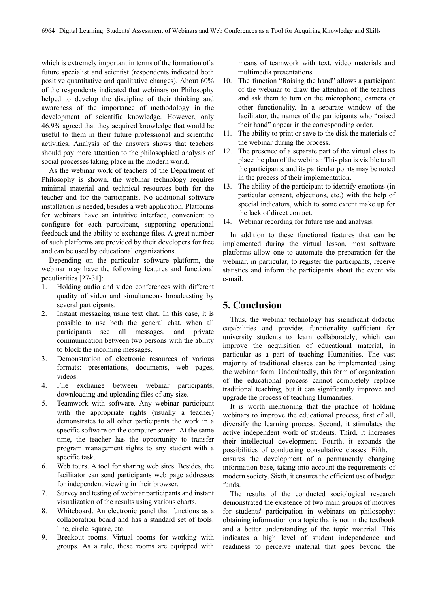which is extremely important in terms of the formation of a future specialist and scientist (respondents indicated both positive quantitative and qualitative changes). About 60% of the respondents indicated that webinars on Philosophy helped to develop the discipline of their thinking and awareness of the importance of methodology in the development of scientific knowledge. However, only 46.9% agreed that they acquired knowledge that would be useful to them in their future professional and scientific activities. Analysis of the answers shows that teachers should pay more attention to the philosophical analysis of social processes taking place in the modern world.

As the webinar work of teachers of the Department of Philosophy is shown, the webinar technology requires minimal material and technical resources both for the teacher and for the participants. No additional software installation is needed, besides a web application. Platforms for webinars have an intuitive interface, convenient to configure for each participant, supporting operational feedback and the ability to exchange files. A great number of such platforms are provided by their developers for free and can be used by educational organizations.

Depending on the particular software platform, the webinar may have the following features and functional peculiarities [27-31]:

- 1. Holding audio and video conferences with different quality of video and simultaneous broadcasting by several participants.
- 2. Instant messaging using text chat. In this case, it is possible to use both the general chat, when all participants see all messages, and private communication between two persons with the ability to block the incoming messages.
- 3. Demonstration of electronic resources of various formats: presentations, documents, web pages, videos.
- 4. File exchange between webinar participants, downloading and uploading files of any size.
- 5. Teamwork with software. Any webinar participant with the appropriate rights (usually a teacher) demonstrates to all other participants the work in a specific software on the computer screen. At the same time, the teacher has the opportunity to transfer program management rights to any student with a specific task.
- 6. Web tours. A tool for sharing web sites. Besides, the facilitator can send participants web page addresses for independent viewing in their browser.
- 7. Survey and testing of webinar participants and instant visualization of the results using various charts.
- 8. Whiteboard. An electronic panel that functions as a collaboration board and has a standard set of tools: line, circle, square, etc.
- 9. Breakout rooms. Virtual rooms for working with groups. As a rule, these rooms are equipped with

means of teamwork with text, video materials and multimedia presentations.

- 10. The function "Raising the hand" allows a participant of the webinar to draw the attention of the teachers and ask them to turn on the microphone, camera or other functionality. In a separate window of the facilitator, the names of the participants who "raised their hand" appear in the corresponding order.
- 11. The ability to print or save to the disk the materials of the webinar during the process.
- 12. The presence of a separate part of the virtual class to place the plan of the webinar. This plan is visible to all the participants, and its particular points may be noted in the process of their implementation.
- 13. The ability of the participant to identify emotions (in particular consent, objections, etc.) with the help of special indicators, which to some extent make up for the lack of direct contact.
- 14. Webinar recording for future use and analysis.

In addition to these functional features that can be implemented during the virtual lesson, most software platforms allow one to automate the preparation for the webinar, in particular, to register the participants, receive statistics and inform the participants about the event via e-mail.

# **5. Conclusion**

Thus, the webinar technology has significant didactic capabilities and provides functionality sufficient for university students to learn collaborately, which can improve the acquisition of educational material, in particular as a part of teaching Humanities. The vast majority of traditional classes can be implemented using the webinar form. Undoubtedly, this form of organization of the educational process cannot completely replace traditional teaching, but it can significantly improve and upgrade the process of teaching Humanities.

It is worth mentioning that the practice of holding webinars to improve the educational process, first of all, diversify the learning process. Second, it stimulates the active independent work of students. Third, it increases their intellectual development. Fourth, it expands the possibilities of conducting consultative classes. Fifth, it ensures the development of a permanently changing information base, taking into account the requirements of modern society. Sixth, it ensures the efficient use of budget funds.

The results of the conducted sociological research demonstrated the existence of two main groups of motives for students' participation in webinars on philosophy: obtaining information on a topic that is not in the textbook and a better understanding of the topic material. This indicates a high level of student independence and readiness to perceive material that goes beyond the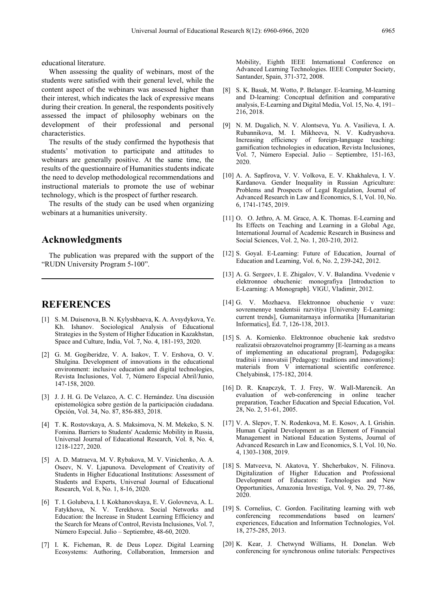educational literature.

When assessing the quality of webinars, most of the students were satisfied with their general level, while the content aspect of the webinars was assessed higher than their interest, which indicates the lack of expressive means during their creation. In general, the respondents positively assessed the impact of philosophy webinars on the development of their professional and personal characteristics.

The results of the study confirmed the hypothesis that students' motivation to participate and attitudes to webinars are generally positive. At the same time, the results of the questionnaire of Humanities students indicate the need to develop methodological recommendations and instructional materials to promote the use of webinar technology, which is the prospect of further research.

The results of the study can be used when organizing webinars at a humanities university.

## **Acknowledgments**

The publication was prepared with the support of the "RUDN University Program 5-100".

## **REFERENCES**

- [1] S. M. Duisenova, B. N. Kylyshbaeva, K. A. Avsydykova, Ye. Kh. Ishanov. Sociological Analysis of Educational Strategies in the System of Higher Education in Kazakhstan, Space and Culture, India, Vol. 7, No. 4, 181-193, 2020.
- [2] G. M. Gogiberidze, V. A. Isakov, T. V. Ershova, O. V. Shulgina. Development of innovations in the educational environment: inclusive education and digital technologies, Revista Inclusiones, Vol. 7, Número Especial Abril/Junio, 147-158, 2020.
- [3] J. J. H. G. De Velazco, A. C. C. Hernández. Una discusión epistemológica sobre gestión de la participación ciudadana. Opción, Vol. 34, No. 87, 856-883, 2018.
- [4] T. K. Rostovskaya, A. S. Maksimova, N. M. Mekeko, S. N. Fomina. Barriers to Students' Academic Mobility in Russia, Universal Journal of Educational Research, Vol. 8, No. 4, 1218-1227, 2020.
- [5] A. D. Matraeva, M. V. Rybakova, M. V. Vinichenko, A. A. Oseev, N. V. Ljapunova. Development of Creativity of Students in Higher Educational Institutions: Assessment of Students and Experts, Universal Journal of Educational Research, Vol. 8, No. 1, 8-16, 2020.
- [6] T. I. Golubeva, I. I. Kokhanovskaya, E. V. Golovneva, A. L. Fatykhova, N. V. Terekhova. Social Networks and Education: the Increase in Student Learning Efficiency and the Search for Means of Control, Revista Inclusiones, Vol. 7, Número Especial. Julio – Septiembre, 48-60, 2020.
- [7] I. K. Ficheman, R. de Deus Lopez. Digital Learning Ecosystems: Authoring, Collaboration, Immersion and

Mobility, Eighth IEEE International Conference on Advanced Learning Technologies. IEEE Computer Society, Santander, Spain, 371-372, 2008.

- [8] S. K. Basak, M. Wotto, P. Belanger. E-learning, M-learning and D-learning: Conceptual definition and comparative analysis, E-Learning and Digital Media, Vol. 15, No. 4, 191– 216, 2018.
- [9] N. M. Dugalich, N. V. Alontseva, Yu. A. Vasilieva, I. A. Rubannikova, M. I. Mikheeva, N. V. Kudryashova. Increasing efficiency of foreign-language teaching: gamification technologies in education, Revista Inclusiones, Vol. 7, Número Especial. Julio – Septiembre, 151-163, 2020.
- [10] A. A. Sapfirova, V. V. Volkova, E. V. Khakhaleva, I. V. Kardanova. Gender Inequality in Russian Agriculture: Problems and Prospects of Legal Regulation, Journal of Advanced Research in Law and Economics, S. l, Vol. 10, No. 6, 1741-1745, 2019.
- [11] O. O. Jethro, A. M. Grace, A. K. Thomas. E-Learning and Its Effects on Teaching and Learning in a Global Age, International Journal of Academic Research in Business and Social Sciences, Vol. 2, No. 1, 203-210, 2012.
- [12] S. Goyal. E-Learning: Future of Education, Journal of Education and Learning, Vol. 6, No. 2, 239-242, 2012.
- [13] A. G. Sergeev, I. E. Zhigalov, V. V. Balandina. Vvedenie v elektronnoe obuchenie: monografiya [Introduction to E-Learning: A Monograph]. VlGU, Vladimir, 2012.
- [14] G. V. Mozhaeva. Elektronnoe obuchenie v vuze: sovremennye tendentsii razvitiya [University E-Learning: current trends], Gumanitarnaya informatika [Humanitarian Informatics], Ed. 7, 126-138, 2013.
- [15] S. A. Kornienko. Elektronnoe obuchenie kak sredstvo realizatsii obrazovatelnoi programmy [E-learning as a means of implementing an educational program], Pedagogika: traditsii i innovatsii [Pedagogy: traditions and innovations]: materials from V international scientific conference. Chelyabinsk, 175-182, 2014.
- [16] D. R. Knapczyk, T. J. Frey, W. Wall-Marencik. An evaluation of web-conferencing in online teacher preparation, Teacher Education and Special Education, Vol. 28, No. 2, 51-61, 2005.
- [17] V. A. Slepov, T. N. Rodenkova, M. E. Kosov, A. I. Grishin. Human Capital Development as an Element of Financial Management in National Education Systems, Journal of Advanced Research in Law and Economics, S. l, Vol. 10, No. 4, 1303-1308, 2019.
- [18] S. Matveeva, N. Akatova, Y. Shcherbakov, N. Filinova. Digitalization of Higher Education and Professional Development of Educators: Technologies and New Opportunities, Amazonia Investiga, Vol. 9, No. 29, 77-86, 2020.
- [19] S. Cornelius, C. Gordon. Facilitating learning with web conferencing recommendations based on learners' experiences, Education and Information Technologies, Vol. 18, 275-285, 2013.
- [20] K. Kear, J. Chetwynd Williams, H. Donelan. Web conferencing for synchronous online tutorials: Perspectives